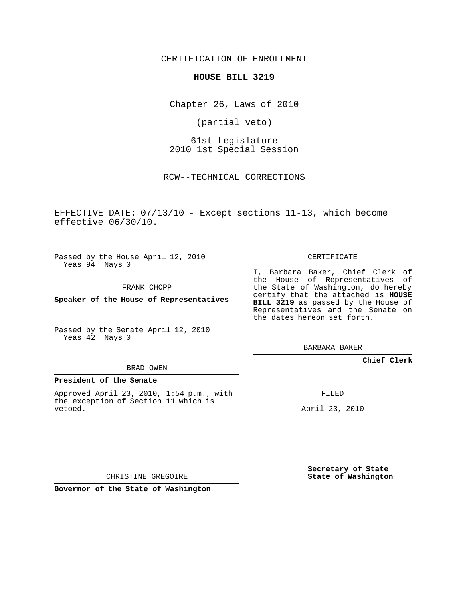CERTIFICATION OF ENROLLMENT

## **HOUSE BILL 3219**

Chapter 26, Laws of 2010

(partial veto)

61st Legislature 2010 1st Special Session

RCW--TECHNICAL CORRECTIONS

EFFECTIVE DATE: 07/13/10 - Except sections 11-13, which become effective 06/30/10.

Passed by the House April 12, 2010 Yeas 94 Nays 0

FRANK CHOPP

**Speaker of the House of Representatives**

Passed by the Senate April 12, 2010 Yeas 42 Nays 0

### BRAD OWEN

## **President of the Senate**

Approved April 23, 2010, 1:54 p.m., with the exception of Section 11 which is vetoed.

CERTIFICATE

I, Barbara Baker, Chief Clerk of the House of Representatives of the State of Washington, do hereby certify that the attached is **HOUSE BILL 3219** as passed by the House of Representatives and the Senate on the dates hereon set forth.

BARBARA BAKER

**Chief Clerk**

FILED

April 23, 2010

**Secretary of State State of Washington**

CHRISTINE GREGOIRE

**Governor of the State of Washington**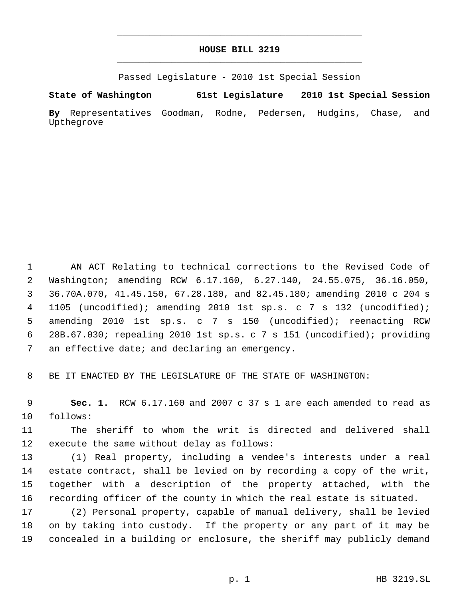## **HOUSE BILL 3219** \_\_\_\_\_\_\_\_\_\_\_\_\_\_\_\_\_\_\_\_\_\_\_\_\_\_\_\_\_\_\_\_\_\_\_\_\_\_\_\_\_\_\_\_\_

\_\_\_\_\_\_\_\_\_\_\_\_\_\_\_\_\_\_\_\_\_\_\_\_\_\_\_\_\_\_\_\_\_\_\_\_\_\_\_\_\_\_\_\_\_

Passed Legislature - 2010 1st Special Session

**State of Washington 61st Legislature 2010 1st Special Session**

**By** Representatives Goodman, Rodne, Pedersen, Hudgins, Chase, and Upthegrove

 AN ACT Relating to technical corrections to the Revised Code of Washington; amending RCW 6.17.160, 6.27.140, 24.55.075, 36.16.050, 36.70A.070, 41.45.150, 67.28.180, and 82.45.180; amending 2010 c 204 s 1105 (uncodified); amending 2010 1st sp.s. c 7 s 132 (uncodified); amending 2010 1st sp.s. c 7 s 150 (uncodified); reenacting RCW 28B.67.030; repealing 2010 1st sp.s. c 7 s 151 (uncodified); providing an effective date; and declaring an emergency.

BE IT ENACTED BY THE LEGISLATURE OF THE STATE OF WASHINGTON:

 **Sec. 1.** RCW 6.17.160 and 2007 c 37 s 1 are each amended to read as follows:

 The sheriff to whom the writ is directed and delivered shall execute the same without delay as follows:

 (1) Real property, including a vendee's interests under a real estate contract, shall be levied on by recording a copy of the writ, together with a description of the property attached, with the recording officer of the county in which the real estate is situated.

 (2) Personal property, capable of manual delivery, shall be levied on by taking into custody. If the property or any part of it may be concealed in a building or enclosure, the sheriff may publicly demand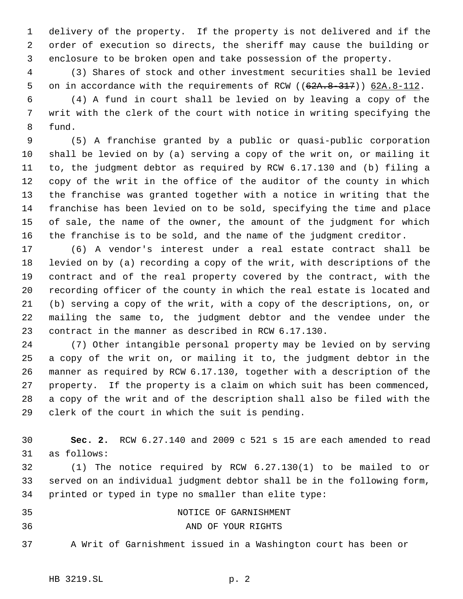delivery of the property. If the property is not delivered and if the order of execution so directs, the sheriff may cause the building or enclosure to be broken open and take possession of the property.

 (3) Shares of stock and other investment securities shall be levied 5 on in accordance with the requirements of RCW ((62A.8-317)) 62A.8-112.

 (4) A fund in court shall be levied on by leaving a copy of the writ with the clerk of the court with notice in writing specifying the fund.

 (5) A franchise granted by a public or quasi-public corporation shall be levied on by (a) serving a copy of the writ on, or mailing it to, the judgment debtor as required by RCW 6.17.130 and (b) filing a copy of the writ in the office of the auditor of the county in which the franchise was granted together with a notice in writing that the franchise has been levied on to be sold, specifying the time and place of sale, the name of the owner, the amount of the judgment for which the franchise is to be sold, and the name of the judgment creditor.

 (6) A vendor's interest under a real estate contract shall be levied on by (a) recording a copy of the writ, with descriptions of the contract and of the real property covered by the contract, with the recording officer of the county in which the real estate is located and (b) serving a copy of the writ, with a copy of the descriptions, on, or mailing the same to, the judgment debtor and the vendee under the contract in the manner as described in RCW 6.17.130.

 (7) Other intangible personal property may be levied on by serving a copy of the writ on, or mailing it to, the judgment debtor in the manner as required by RCW 6.17.130, together with a description of the property. If the property is a claim on which suit has been commenced, a copy of the writ and of the description shall also be filed with the clerk of the court in which the suit is pending.

 **Sec. 2.** RCW 6.27.140 and 2009 c 521 s 15 are each amended to read as follows:

 (1) The notice required by RCW 6.27.130(1) to be mailed to or served on an individual judgment debtor shall be in the following form, printed or typed in type no smaller than elite type:

- NOTICE OF GARNISHMENT 36 AND OF YOUR RIGHTS
- A Writ of Garnishment issued in a Washington court has been or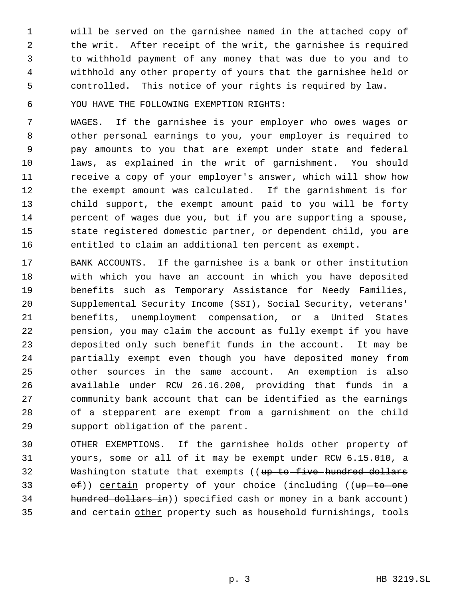will be served on the garnishee named in the attached copy of the writ. After receipt of the writ, the garnishee is required to withhold payment of any money that was due to you and to withhold any other property of yours that the garnishee held or controlled. This notice of your rights is required by law.

YOU HAVE THE FOLLOWING EXEMPTION RIGHTS:

 WAGES. If the garnishee is your employer who owes wages or other personal earnings to you, your employer is required to pay amounts to you that are exempt under state and federal laws, as explained in the writ of garnishment. You should receive a copy of your employer's answer, which will show how the exempt amount was calculated. If the garnishment is for child support, the exempt amount paid to you will be forty percent of wages due you, but if you are supporting a spouse, state registered domestic partner, or dependent child, you are entitled to claim an additional ten percent as exempt.

 BANK ACCOUNTS. If the garnishee is a bank or other institution with which you have an account in which you have deposited benefits such as Temporary Assistance for Needy Families, Supplemental Security Income (SSI), Social Security, veterans' benefits, unemployment compensation, or a United States pension, you may claim the account as fully exempt if you have deposited only such benefit funds in the account. It may be partially exempt even though you have deposited money from other sources in the same account. An exemption is also available under RCW 26.16.200, providing that funds in a community bank account that can be identified as the earnings of a stepparent are exempt from a garnishment on the child support obligation of the parent.

 OTHER EXEMPTIONS. If the garnishee holds other property of yours, some or all of it may be exempt under RCW 6.15.010, a 32 Washington statute that exempts ((up to five hundred dollars 33 of)) certain property of your choice (including ((up to one 34 hundred dollars in)) specified cash or money in a bank account) and certain other property such as household furnishings, tools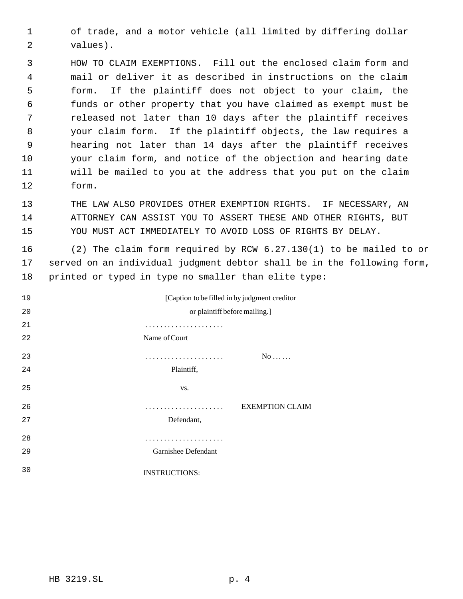of trade, and a motor vehicle (all limited by differing dollar values).

 HOW TO CLAIM EXEMPTIONS. Fill out the enclosed claim form and mail or deliver it as described in instructions on the claim form. If the plaintiff does not object to your claim, the funds or other property that you have claimed as exempt must be released not later than 10 days after the plaintiff receives your claim form. If the plaintiff objects, the law requires a hearing not later than 14 days after the plaintiff receives your claim form, and notice of the objection and hearing date will be mailed to you at the address that you put on the claim form.

 THE LAW ALSO PROVIDES OTHER EXEMPTION RIGHTS. IF NECESSARY, AN ATTORNEY CAN ASSIST YOU TO ASSERT THESE AND OTHER RIGHTS, BUT YOU MUST ACT IMMEDIATELY TO AVOID LOSS OF RIGHTS BY DELAY.

 (2) The claim form required by RCW 6.27.130(1) to be mailed to or served on an individual judgment debtor shall be in the following form, printed or typed in type no smaller than elite type:

| 19 | [Caption to be filled in by judgment creditor] |
|----|------------------------------------------------|
| 20 | or plaintiff before mailing.]                  |
| 21 | .                                              |
| 22 | Name of Court                                  |
| 23 | $No \ldots$<br>.                               |
| 24 | Plaintiff,                                     |
| 25 | VS.                                            |
| 26 | <b>EXEMPTION CLAIM</b><br>.                    |
| 27 | Defendant,                                     |
| 28 | .                                              |
| 29 | Garnishee Defendant                            |
| 30 | <b>INSTRUCTIONS:</b>                           |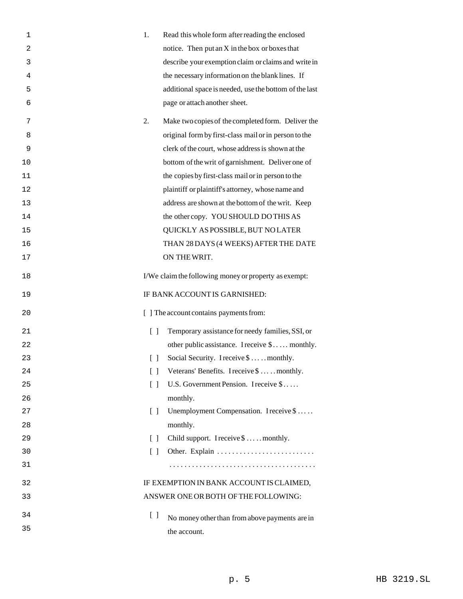| 1              | Read this whole form after reading the enclosed<br>1.                               |
|----------------|-------------------------------------------------------------------------------------|
| $\overline{2}$ | notice. Then put an $X$ in the box or boxes that                                    |
| 3              | describe your exemption claim or claims and write in                                |
| 4              | the necessary information on the blank lines. If                                    |
| 5              | additional space is needed, use the bottom of the last                              |
| 6              | page or attach another sheet.                                                       |
| 7              | Make two copies of the completed form. Deliver the<br>2.                            |
| 8              | original form by first-class mail or in person to the                               |
| 9              | clerk of the court, whose address is shown at the                                   |
| 10             | bottom of the writ of garnishment. Deliver one of                                   |
| 11             | the copies by first-class mail or in person to the                                  |
| 12             | plaintiff or plaintiff's attorney, whose name and                                   |
| 13             | address are shown at the bottom of the writ. Keep                                   |
| 14             | the other copy. YOU SHOULD DO THIS AS                                               |
| 15             | QUICKLY AS POSSIBLE, BUT NO LATER                                                   |
| 16             | THAN 28 DAYS (4 WEEKS) AFTER THE DATE                                               |
| 17             | ON THE WRIT.                                                                        |
| 18             | I/We claim the following money or property as exempt:                               |
|                |                                                                                     |
| 19             | IF BANK ACCOUNT IS GARNISHED:                                                       |
| 20             | [ ] The account contains payments from:                                             |
| 21             | Temporary assistance for needy families, SSI, or<br>$\lceil$ $\rceil$               |
| 22             | other public assistance. I receive \$ monthly.                                      |
| 23             | Social Security. I receive \$  monthly.<br>$\begin{bmatrix} \end{bmatrix}$          |
| 24             | Veterans' Benefits. I receive \$  monthly.<br>$\lceil$ $\rceil$                     |
| 25             | U.S. Government Pension. I receive \$<br>$\lceil$ $\rceil$                          |
| 26             | monthly.                                                                            |
| 27             | Unemployment Compensation. I receive \$<br>$\lceil \rceil$                          |
| 28             | monthly.                                                                            |
| 29             | Child support. I receive \$  monthly.<br>$\lceil$ $\rceil$                          |
| 30             | $\begin{bmatrix} \end{bmatrix}$                                                     |
| 31             |                                                                                     |
| 32             | IF EXEMPTION IN BANK ACCOUNT IS CLAIMED,                                            |
| 33             | ANSWER ONE OR BOTH OF THE FOLLOWING:                                                |
| 34             | $\begin{bmatrix} 1 \end{bmatrix}$<br>No money other than from above payments are in |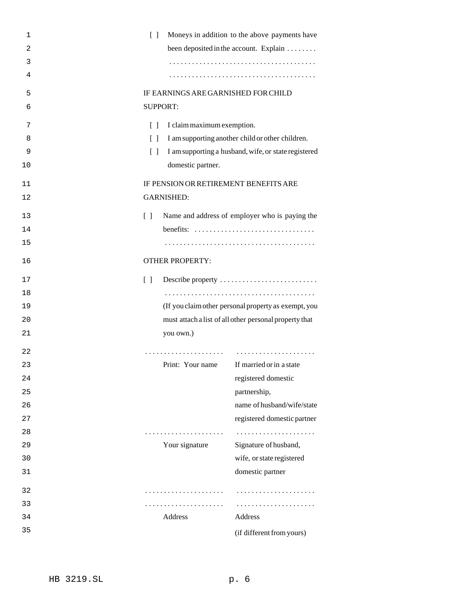| 1              | $\lceil$ $\rceil$                     | Moneys in addition to the above payments have                            |
|----------------|---------------------------------------|--------------------------------------------------------------------------|
| $\overline{2}$ |                                       | been deposited in the account. Explain                                   |
| 3              |                                       |                                                                          |
| 4              |                                       |                                                                          |
| 5              | IF EARNINGS ARE GARNISHED FOR CHILD   |                                                                          |
| 6              | <b>SUPPORT:</b>                       |                                                                          |
| 7              | I claim maximum exemption.<br>$\Box$  |                                                                          |
| 8              | $\Box$                                | I am supporting another child or other children.                         |
| 9              | $\Box$                                | I am supporting a husband, wife, or state registered                     |
| 10             | domestic partner.                     |                                                                          |
| 11             | IF PENSION OR RETIREMENT BENEFITS ARE |                                                                          |
| 12             | <b>GARNISHED:</b>                     |                                                                          |
| 13             | $\lceil$ $\rceil$                     | Name and address of employer who is paying the                           |
| 14             |                                       | benefits: $\dots\dots\dots\dots\dots\dots\dots\dots\dots\dots\dots\dots$ |
| 15             |                                       |                                                                          |
| 16             | <b>OTHER PROPERTY:</b>                |                                                                          |
| 17             | $\lceil$ $\rceil$                     | Describe property                                                        |
| 18             |                                       |                                                                          |
| 19             |                                       | (If you claim other personal property as exempt, you                     |
| 20             |                                       | must attach a list of all other personal property that                   |
| 21             | you own.)                             |                                                                          |
| 22             |                                       |                                                                          |
| 23             |                                       | Print: Your name If married or in a state                                |
| 24             |                                       | registered domestic                                                      |
| 25             |                                       | partnership,                                                             |
| 26             |                                       | name of husband/wife/state                                               |
| 27             |                                       | registered domestic partner                                              |
| 28             | .                                     |                                                                          |
| 29             | Your signature                        | Signature of husband,                                                    |
| 30             |                                       | wife, or state registered                                                |
| 31             |                                       | domestic partner                                                         |
| 32             |                                       |                                                                          |
| 33             | .                                     |                                                                          |
| 34             | Address                               | Address                                                                  |
| 35             |                                       | (if different from yours)                                                |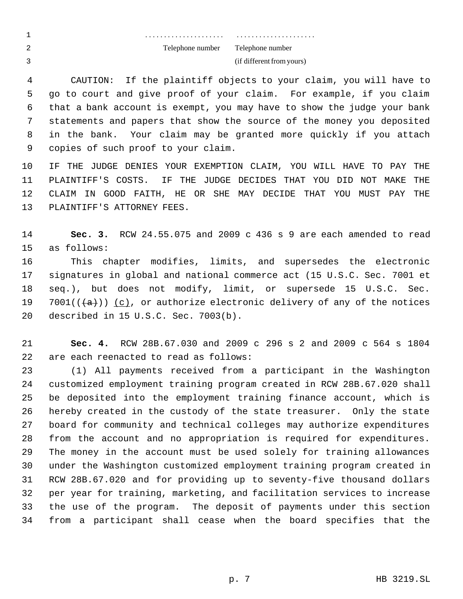. . . . . . . . . . . . . . . . . . . . . . . . . . . . . . . . . . . . . . . . . .

 Telephone number Telephone number (if different from yours)

 CAUTION: If the plaintiff objects to your claim, you will have to go to court and give proof of your claim. For example, if you claim that a bank account is exempt, you may have to show the judge your bank statements and papers that show the source of the money you deposited in the bank. Your claim may be granted more quickly if you attach copies of such proof to your claim.

 IF THE JUDGE DENIES YOUR EXEMPTION CLAIM, YOU WILL HAVE TO PAY THE PLAINTIFF'S COSTS. IF THE JUDGE DECIDES THAT YOU DID NOT MAKE THE CLAIM IN GOOD FAITH, HE OR SHE MAY DECIDE THAT YOU MUST PAY THE PLAINTIFF'S ATTORNEY FEES.

 **Sec. 3.** RCW 24.55.075 and 2009 c 436 s 9 are each amended to read as follows:

 This chapter modifies, limits, and supersedes the electronic signatures in global and national commerce act (15 U.S.C. Sec. 7001 et seq.), but does not modify, limit, or supersede 15 U.S.C. Sec. 19 7001( $(\overline{\{a\}})$ ) (c), or authorize electronic delivery of any of the notices described in 15 U.S.C. Sec. 7003(b).

 **Sec. 4.** RCW 28B.67.030 and 2009 c 296 s 2 and 2009 c 564 s 1804 are each reenacted to read as follows:

 (1) All payments received from a participant in the Washington customized employment training program created in RCW 28B.67.020 shall be deposited into the employment training finance account, which is hereby created in the custody of the state treasurer. Only the state board for community and technical colleges may authorize expenditures from the account and no appropriation is required for expenditures. The money in the account must be used solely for training allowances under the Washington customized employment training program created in RCW 28B.67.020 and for providing up to seventy-five thousand dollars per year for training, marketing, and facilitation services to increase the use of the program. The deposit of payments under this section from a participant shall cease when the board specifies that the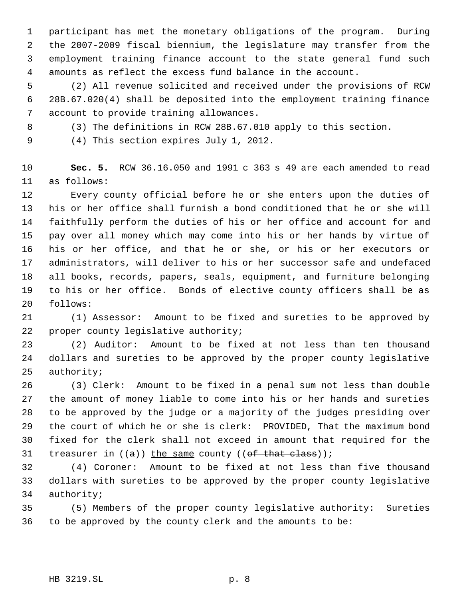participant has met the monetary obligations of the program. During the 2007-2009 fiscal biennium, the legislature may transfer from the employment training finance account to the state general fund such amounts as reflect the excess fund balance in the account.

 (2) All revenue solicited and received under the provisions of RCW 28B.67.020(4) shall be deposited into the employment training finance account to provide training allowances.

(3) The definitions in RCW 28B.67.010 apply to this section.

(4) This section expires July 1, 2012.

 **Sec. 5.** RCW 36.16.050 and 1991 c 363 s 49 are each amended to read as follows:

 Every county official before he or she enters upon the duties of his or her office shall furnish a bond conditioned that he or she will faithfully perform the duties of his or her office and account for and pay over all money which may come into his or her hands by virtue of his or her office, and that he or she, or his or her executors or administrators, will deliver to his or her successor safe and undefaced all books, records, papers, seals, equipment, and furniture belonging to his or her office. Bonds of elective county officers shall be as follows:

 (1) Assessor: Amount to be fixed and sureties to be approved by proper county legislative authority;

 (2) Auditor: Amount to be fixed at not less than ten thousand dollars and sureties to be approved by the proper county legislative authority;

 (3) Clerk: Amount to be fixed in a penal sum not less than double the amount of money liable to come into his or her hands and sureties to be approved by the judge or a majority of the judges presiding over the court of which he or she is clerk: PROVIDED, That the maximum bond fixed for the clerk shall not exceed in amount that required for the 31 treasurer in  $((a))$  the same county  $((of *that class*)):$ 

 (4) Coroner: Amount to be fixed at not less than five thousand dollars with sureties to be approved by the proper county legislative authority;

 (5) Members of the proper county legislative authority: Sureties to be approved by the county clerk and the amounts to be: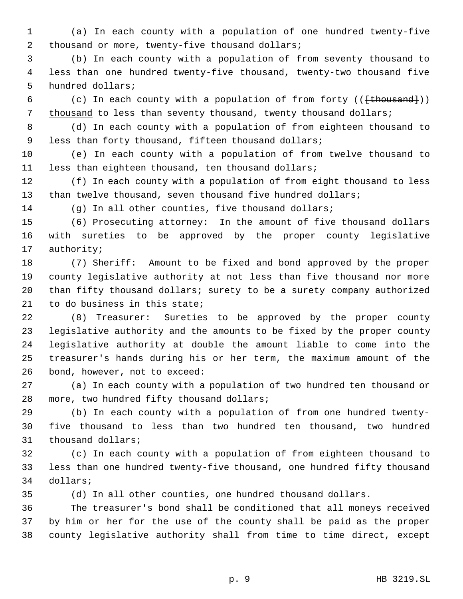(a) In each county with a population of one hundred twenty-five 2 thousand or more, twenty-five thousand dollars;

 (b) In each county with a population of from seventy thousand to less than one hundred twenty-five thousand, twenty-two thousand five hundred dollars;

6 (c) In each county with a population of from forty  $((\text{theousand}))$ thousand to less than seventy thousand, twenty thousand dollars;

 (d) In each county with a population of from eighteen thousand to 9 less than forty thousand, fifteen thousand dollars;

 (e) In each county with a population of from twelve thousand to less than eighteen thousand, ten thousand dollars;

 (f) In each county with a population of from eight thousand to less 13 than twelve thousand, seven thousand five hundred dollars;

(g) In all other counties, five thousand dollars;

 (6) Prosecuting attorney: In the amount of five thousand dollars with sureties to be approved by the proper county legislative authority;

 (7) Sheriff: Amount to be fixed and bond approved by the proper county legislative authority at not less than five thousand nor more than fifty thousand dollars; surety to be a surety company authorized to do business in this state;

 (8) Treasurer: Sureties to be approved by the proper county legislative authority and the amounts to be fixed by the proper county legislative authority at double the amount liable to come into the treasurer's hands during his or her term, the maximum amount of the bond, however, not to exceed:

 (a) In each county with a population of two hundred ten thousand or more, two hundred fifty thousand dollars;

 (b) In each county with a population of from one hundred twenty- five thousand to less than two hundred ten thousand, two hundred thousand dollars;

 (c) In each county with a population of from eighteen thousand to less than one hundred twenty-five thousand, one hundred fifty thousand dollars;

(d) In all other counties, one hundred thousand dollars.

 The treasurer's bond shall be conditioned that all moneys received by him or her for the use of the county shall be paid as the proper county legislative authority shall from time to time direct, except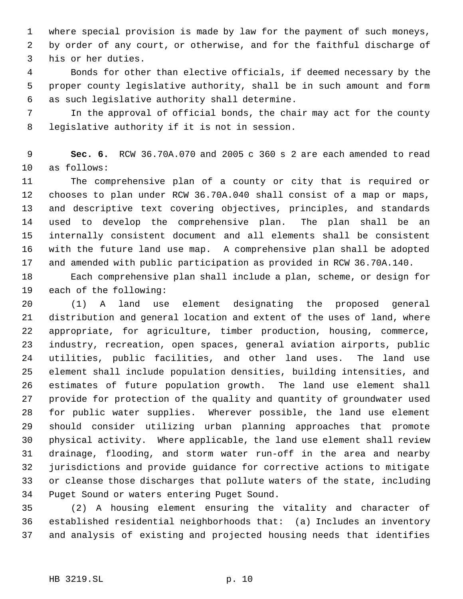where special provision is made by law for the payment of such moneys, by order of any court, or otherwise, and for the faithful discharge of his or her duties.

 Bonds for other than elective officials, if deemed necessary by the proper county legislative authority, shall be in such amount and form as such legislative authority shall determine.

 In the approval of official bonds, the chair may act for the county legislative authority if it is not in session.

 **Sec. 6.** RCW 36.70A.070 and 2005 c 360 s 2 are each amended to read as follows:

 The comprehensive plan of a county or city that is required or chooses to plan under RCW 36.70A.040 shall consist of a map or maps, and descriptive text covering objectives, principles, and standards used to develop the comprehensive plan. The plan shall be an internally consistent document and all elements shall be consistent with the future land use map. A comprehensive plan shall be adopted and amended with public participation as provided in RCW 36.70A.140.

 Each comprehensive plan shall include a plan, scheme, or design for each of the following:

 (1) A land use element designating the proposed general distribution and general location and extent of the uses of land, where appropriate, for agriculture, timber production, housing, commerce, industry, recreation, open spaces, general aviation airports, public utilities, public facilities, and other land uses. The land use element shall include population densities, building intensities, and estimates of future population growth. The land use element shall provide for protection of the quality and quantity of groundwater used for public water supplies. Wherever possible, the land use element should consider utilizing urban planning approaches that promote physical activity. Where applicable, the land use element shall review drainage, flooding, and storm water run-off in the area and nearby jurisdictions and provide guidance for corrective actions to mitigate or cleanse those discharges that pollute waters of the state, including Puget Sound or waters entering Puget Sound.

 (2) A housing element ensuring the vitality and character of established residential neighborhoods that: (a) Includes an inventory and analysis of existing and projected housing needs that identifies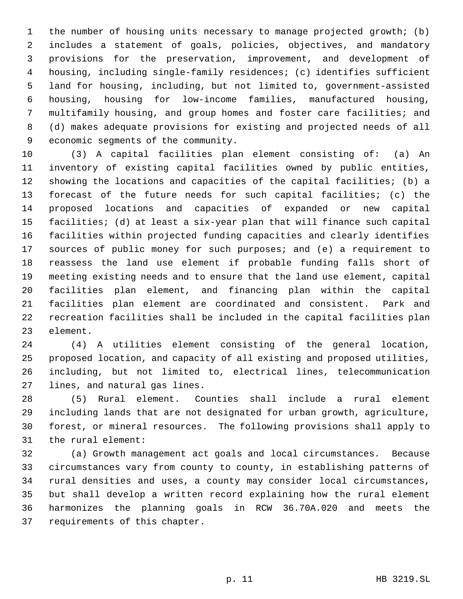the number of housing units necessary to manage projected growth; (b) includes a statement of goals, policies, objectives, and mandatory provisions for the preservation, improvement, and development of housing, including single-family residences; (c) identifies sufficient land for housing, including, but not limited to, government-assisted housing, housing for low-income families, manufactured housing, multifamily housing, and group homes and foster care facilities; and (d) makes adequate provisions for existing and projected needs of all economic segments of the community.

 (3) A capital facilities plan element consisting of: (a) An inventory of existing capital facilities owned by public entities, showing the locations and capacities of the capital facilities; (b) a forecast of the future needs for such capital facilities; (c) the proposed locations and capacities of expanded or new capital facilities; (d) at least a six-year plan that will finance such capital facilities within projected funding capacities and clearly identifies sources of public money for such purposes; and (e) a requirement to reassess the land use element if probable funding falls short of meeting existing needs and to ensure that the land use element, capital facilities plan element, and financing plan within the capital facilities plan element are coordinated and consistent. Park and recreation facilities shall be included in the capital facilities plan element.

 (4) A utilities element consisting of the general location, proposed location, and capacity of all existing and proposed utilities, including, but not limited to, electrical lines, telecommunication lines, and natural gas lines.

 (5) Rural element. Counties shall include a rural element including lands that are not designated for urban growth, agriculture, forest, or mineral resources. The following provisions shall apply to the rural element:

 (a) Growth management act goals and local circumstances. Because circumstances vary from county to county, in establishing patterns of rural densities and uses, a county may consider local circumstances, but shall develop a written record explaining how the rural element harmonizes the planning goals in RCW 36.70A.020 and meets the requirements of this chapter.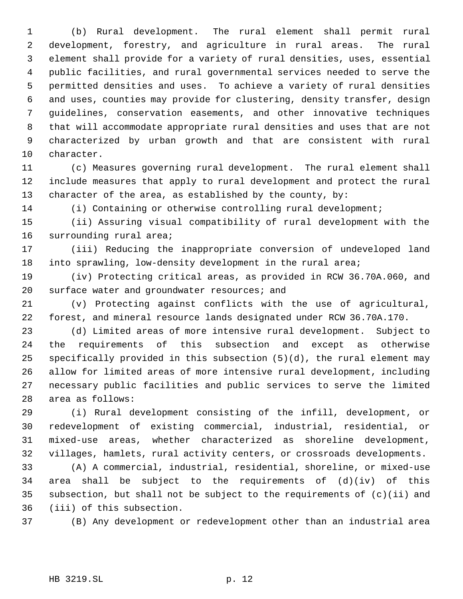(b) Rural development. The rural element shall permit rural development, forestry, and agriculture in rural areas. The rural element shall provide for a variety of rural densities, uses, essential public facilities, and rural governmental services needed to serve the permitted densities and uses. To achieve a variety of rural densities and uses, counties may provide for clustering, density transfer, design guidelines, conservation easements, and other innovative techniques that will accommodate appropriate rural densities and uses that are not characterized by urban growth and that are consistent with rural character.

 (c) Measures governing rural development. The rural element shall include measures that apply to rural development and protect the rural character of the area, as established by the county, by:

(i) Containing or otherwise controlling rural development;

 (ii) Assuring visual compatibility of rural development with the 16 surrounding rural area;

 (iii) Reducing the inappropriate conversion of undeveloped land into sprawling, low-density development in the rural area;

 (iv) Protecting critical areas, as provided in RCW 36.70A.060, and 20 surface water and groundwater resources; and

 (v) Protecting against conflicts with the use of agricultural, forest, and mineral resource lands designated under RCW 36.70A.170.

 (d) Limited areas of more intensive rural development. Subject to the requirements of this subsection and except as otherwise specifically provided in this subsection (5)(d), the rural element may allow for limited areas of more intensive rural development, including necessary public facilities and public services to serve the limited area as follows:

 (i) Rural development consisting of the infill, development, or redevelopment of existing commercial, industrial, residential, or mixed-use areas, whether characterized as shoreline development, villages, hamlets, rural activity centers, or crossroads developments.

 (A) A commercial, industrial, residential, shoreline, or mixed-use area shall be subject to the requirements of (d)(iv) of this subsection, but shall not be subject to the requirements of (c)(ii) and (iii) of this subsection.

(B) Any development or redevelopment other than an industrial area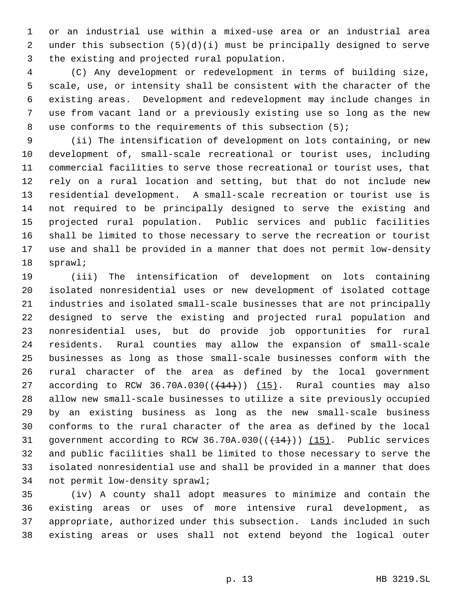or an industrial use within a mixed-use area or an industrial area under this subsection (5)(d)(i) must be principally designed to serve the existing and projected rural population.

 (C) Any development or redevelopment in terms of building size, scale, use, or intensity shall be consistent with the character of the existing areas. Development and redevelopment may include changes in use from vacant land or a previously existing use so long as the new 8 use conforms to the requirements of this subsection (5);

 (ii) The intensification of development on lots containing, or new development of, small-scale recreational or tourist uses, including commercial facilities to serve those recreational or tourist uses, that rely on a rural location and setting, but that do not include new residential development. A small-scale recreation or tourist use is not required to be principally designed to serve the existing and projected rural population. Public services and public facilities shall be limited to those necessary to serve the recreation or tourist use and shall be provided in a manner that does not permit low-density sprawl;

 (iii) The intensification of development on lots containing isolated nonresidential uses or new development of isolated cottage industries and isolated small-scale businesses that are not principally designed to serve the existing and projected rural population and nonresidential uses, but do provide job opportunities for rural residents. Rural counties may allow the expansion of small-scale businesses as long as those small-scale businesses conform with the rural character of the area as defined by the local government 27 according to RCW 36.70A.030( $(\frac{14}{1})$ )  $(15)$ . Rural counties may also allow new small-scale businesses to utilize a site previously occupied by an existing business as long as the new small-scale business conforms to the rural character of the area as defined by the local 31 government according to RCW 36.70A.030( $(\frac{14}{11})$ )  $(15)$ . Public services and public facilities shall be limited to those necessary to serve the isolated nonresidential use and shall be provided in a manner that does not permit low-density sprawl;

 (iv) A county shall adopt measures to minimize and contain the existing areas or uses of more intensive rural development, as appropriate, authorized under this subsection. Lands included in such existing areas or uses shall not extend beyond the logical outer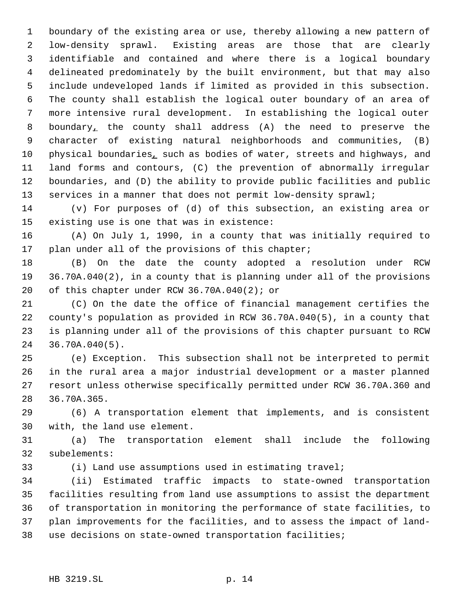boundary of the existing area or use, thereby allowing a new pattern of low-density sprawl. Existing areas are those that are clearly identifiable and contained and where there is a logical boundary delineated predominately by the built environment, but that may also include undeveloped lands if limited as provided in this subsection. The county shall establish the logical outer boundary of an area of more intensive rural development. In establishing the logical outer boundary, the county shall address (A) the need to preserve the character of existing natural neighborhoods and communities, (B) 10 physical boundaries, such as bodies of water, streets and highways, and land forms and contours, (C) the prevention of abnormally irregular boundaries, and (D) the ability to provide public facilities and public services in a manner that does not permit low-density sprawl;

 (v) For purposes of (d) of this subsection, an existing area or existing use is one that was in existence:

 (A) On July 1, 1990, in a county that was initially required to plan under all of the provisions of this chapter;

 (B) On the date the county adopted a resolution under RCW 36.70A.040(2), in a county that is planning under all of the provisions of this chapter under RCW 36.70A.040(2); or

 (C) On the date the office of financial management certifies the county's population as provided in RCW 36.70A.040(5), in a county that is planning under all of the provisions of this chapter pursuant to RCW 36.70A.040(5).

 (e) Exception. This subsection shall not be interpreted to permit in the rural area a major industrial development or a master planned resort unless otherwise specifically permitted under RCW 36.70A.360 and 36.70A.365.

 (6) A transportation element that implements, and is consistent with, the land use element.

 (a) The transportation element shall include the following subelements:

(i) Land use assumptions used in estimating travel;

 (ii) Estimated traffic impacts to state-owned transportation facilities resulting from land use assumptions to assist the department of transportation in monitoring the performance of state facilities, to plan improvements for the facilities, and to assess the impact of land-use decisions on state-owned transportation facilities;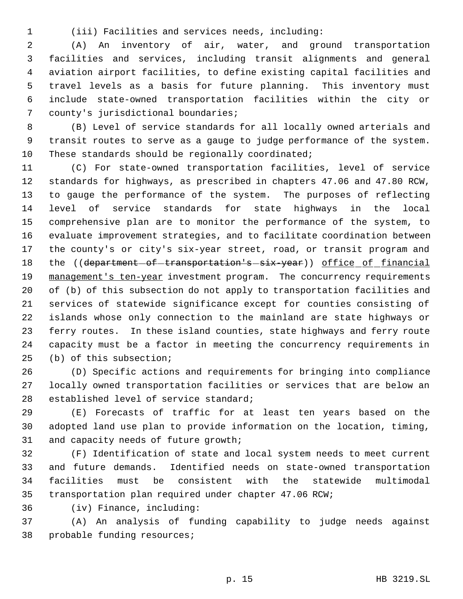(iii) Facilities and services needs, including:

 (A) An inventory of air, water, and ground transportation facilities and services, including transit alignments and general aviation airport facilities, to define existing capital facilities and travel levels as a basis for future planning. This inventory must include state-owned transportation facilities within the city or county's jurisdictional boundaries;

 (B) Level of service standards for all locally owned arterials and transit routes to serve as a gauge to judge performance of the system. These standards should be regionally coordinated;

 (C) For state-owned transportation facilities, level of service standards for highways, as prescribed in chapters 47.06 and 47.80 RCW, to gauge the performance of the system. The purposes of reflecting level of service standards for state highways in the local comprehensive plan are to monitor the performance of the system, to evaluate improvement strategies, and to facilitate coordination between the county's or city's six-year street, road, or transit program and 18 the ((department-of-transportation's-six-year)) office of financial 19 management's ten-year investment program. The concurrency requirements of (b) of this subsection do not apply to transportation facilities and services of statewide significance except for counties consisting of islands whose only connection to the mainland are state highways or ferry routes. In these island counties, state highways and ferry route capacity must be a factor in meeting the concurrency requirements in (b) of this subsection;

 (D) Specific actions and requirements for bringing into compliance locally owned transportation facilities or services that are below an established level of service standard;

 (E) Forecasts of traffic for at least ten years based on the adopted land use plan to provide information on the location, timing, and capacity needs of future growth;

 (F) Identification of state and local system needs to meet current and future demands. Identified needs on state-owned transportation facilities must be consistent with the statewide multimodal transportation plan required under chapter 47.06 RCW;

(iv) Finance, including:

 (A) An analysis of funding capability to judge needs against probable funding resources;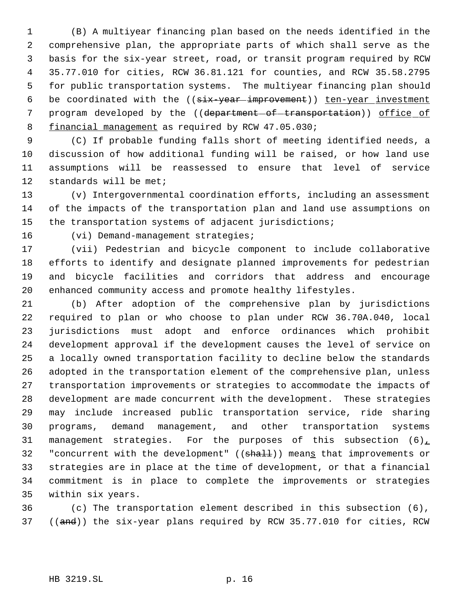(B) A multiyear financing plan based on the needs identified in the comprehensive plan, the appropriate parts of which shall serve as the basis for the six-year street, road, or transit program required by RCW 35.77.010 for cities, RCW 36.81.121 for counties, and RCW 35.58.2795 for public transportation systems. The multiyear financing plan should 6 be coordinated with the ((six-year improvement)) ten-year investment 7 program developed by the ((department-of-transportation)) office of 8 financial management as required by RCW 47.05.030;

 (C) If probable funding falls short of meeting identified needs, a discussion of how additional funding will be raised, or how land use assumptions will be reassessed to ensure that level of service standards will be met;

 (v) Intergovernmental coordination efforts, including an assessment of the impacts of the transportation plan and land use assumptions on the transportation systems of adjacent jurisdictions;

16 (vi) Demand-management strategies;

 (vii) Pedestrian and bicycle component to include collaborative efforts to identify and designate planned improvements for pedestrian and bicycle facilities and corridors that address and encourage enhanced community access and promote healthy lifestyles.

 (b) After adoption of the comprehensive plan by jurisdictions required to plan or who choose to plan under RCW 36.70A.040, local jurisdictions must adopt and enforce ordinances which prohibit development approval if the development causes the level of service on a locally owned transportation facility to decline below the standards adopted in the transportation element of the comprehensive plan, unless transportation improvements or strategies to accommodate the impacts of development are made concurrent with the development. These strategies may include increased public transportation service, ride sharing programs, demand management, and other transportation systems 31 management strategies. For the purposes of this subsection  $(6)_L$ 32 "concurrent with the development" ((shall)) means that improvements or strategies are in place at the time of development, or that a financial commitment is in place to complete the improvements or strategies within six years.

 (c) The transportation element described in this subsection (6), 37 ((and)) the six-year plans required by RCW 35.77.010 for cities, RCW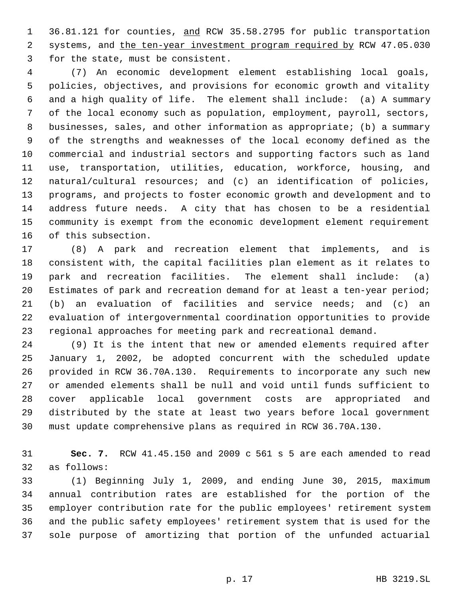36.81.121 for counties, and RCW 35.58.2795 for public transportation 2 systems, and the ten-year investment program required by RCW 47.05.030 for the state, must be consistent.

 (7) An economic development element establishing local goals, policies, objectives, and provisions for economic growth and vitality and a high quality of life. The element shall include: (a) A summary of the local economy such as population, employment, payroll, sectors, businesses, sales, and other information as appropriate; (b) a summary of the strengths and weaknesses of the local economy defined as the commercial and industrial sectors and supporting factors such as land use, transportation, utilities, education, workforce, housing, and natural/cultural resources; and (c) an identification of policies, programs, and projects to foster economic growth and development and to address future needs. A city that has chosen to be a residential community is exempt from the economic development element requirement of this subsection.

 (8) A park and recreation element that implements, and is consistent with, the capital facilities plan element as it relates to park and recreation facilities. The element shall include: (a) Estimates of park and recreation demand for at least a ten-year period; (b) an evaluation of facilities and service needs; and (c) an evaluation of intergovernmental coordination opportunities to provide regional approaches for meeting park and recreational demand.

 (9) It is the intent that new or amended elements required after January 1, 2002, be adopted concurrent with the scheduled update provided in RCW 36.70A.130. Requirements to incorporate any such new or amended elements shall be null and void until funds sufficient to cover applicable local government costs are appropriated and distributed by the state at least two years before local government must update comprehensive plans as required in RCW 36.70A.130.

 **Sec. 7.** RCW 41.45.150 and 2009 c 561 s 5 are each amended to read as follows:

 (1) Beginning July 1, 2009, and ending June 30, 2015, maximum annual contribution rates are established for the portion of the employer contribution rate for the public employees' retirement system and the public safety employees' retirement system that is used for the sole purpose of amortizing that portion of the unfunded actuarial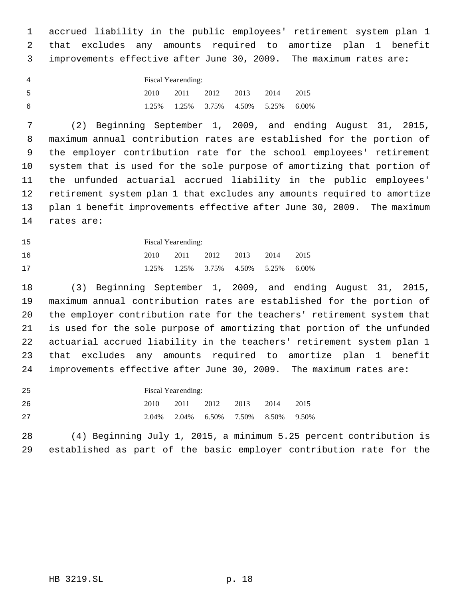accrued liability in the public employees' retirement system plan 1 that excludes any amounts required to amortize plan 1 benefit improvements effective after June 30, 2009. The maximum rates are:

| 4   | Fiscal Year ending: |  |                     |  |                                                       |      |
|-----|---------------------|--|---------------------|--|-------------------------------------------------------|------|
| - 5 | 2010                |  | 2011 2012 2013 2014 |  |                                                       | 2015 |
| - 6 |                     |  |                     |  | $1.25\%$ $1.25\%$ $3.75\%$ $4.50\%$ $5.25\%$ $6.00\%$ |      |

 (2) Beginning September 1, 2009, and ending August 31, 2015, maximum annual contribution rates are established for the portion of the employer contribution rate for the school employees' retirement system that is used for the sole purpose of amortizing that portion of the unfunded actuarial accrued liability in the public employees' retirement system plan 1 that excludes any amounts required to amortize plan 1 benefit improvements effective after June 30, 2009. The maximum rates are:

 Fiscal Year ending: 2010 2011 2012 2013 2014 2015 1.25% 1.25% 3.75% 4.50% 5.25% 6.00%

 (3) Beginning September 1, 2009, and ending August 31, 2015, maximum annual contribution rates are established for the portion of the employer contribution rate for the teachers' retirement system that is used for the sole purpose of amortizing that portion of the unfunded actuarial accrued liability in the teachers' retirement system plan 1 that excludes any amounts required to amortize plan 1 benefit improvements effective after June 30, 2009. The maximum rates are:

| -25  | Fiscal Year ending: |      |      |                               |      |      |
|------|---------------------|------|------|-------------------------------|------|------|
| -26  | 2010                | 2011 | 2012 | 2013                          | 2014 | 2015 |
| - 27 | 2.04%               |      |      | 2.04% 6.50% 7.50% 8.50% 9.50% |      |      |

 (4) Beginning July 1, 2015, a minimum 5.25 percent contribution is established as part of the basic employer contribution rate for the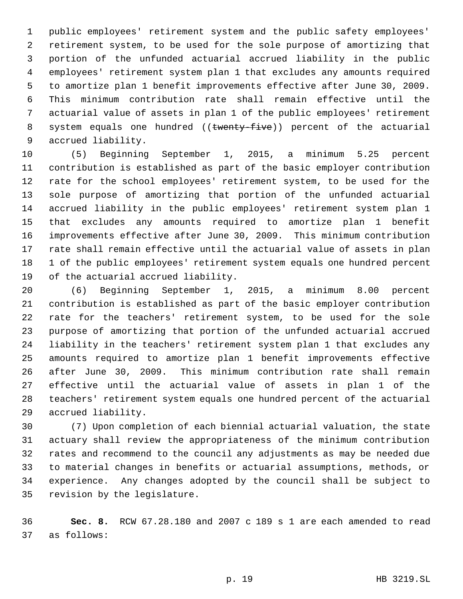public employees' retirement system and the public safety employees' retirement system, to be used for the sole purpose of amortizing that portion of the unfunded actuarial accrued liability in the public employees' retirement system plan 1 that excludes any amounts required to amortize plan 1 benefit improvements effective after June 30, 2009. This minimum contribution rate shall remain effective until the actuarial value of assets in plan 1 of the public employees' retirement 8 system equals one hundred ((twenty-five)) percent of the actuarial accrued liability.

 (5) Beginning September 1, 2015, a minimum 5.25 percent contribution is established as part of the basic employer contribution rate for the school employees' retirement system, to be used for the sole purpose of amortizing that portion of the unfunded actuarial accrued liability in the public employees' retirement system plan 1 that excludes any amounts required to amortize plan 1 benefit improvements effective after June 30, 2009. This minimum contribution rate shall remain effective until the actuarial value of assets in plan 1 of the public employees' retirement system equals one hundred percent of the actuarial accrued liability.

 (6) Beginning September 1, 2015, a minimum 8.00 percent contribution is established as part of the basic employer contribution rate for the teachers' retirement system, to be used for the sole purpose of amortizing that portion of the unfunded actuarial accrued liability in the teachers' retirement system plan 1 that excludes any amounts required to amortize plan 1 benefit improvements effective after June 30, 2009. This minimum contribution rate shall remain effective until the actuarial value of assets in plan 1 of the teachers' retirement system equals one hundred percent of the actuarial accrued liability.

 (7) Upon completion of each biennial actuarial valuation, the state actuary shall review the appropriateness of the minimum contribution rates and recommend to the council any adjustments as may be needed due to material changes in benefits or actuarial assumptions, methods, or experience. Any changes adopted by the council shall be subject to revision by the legislature.

 **Sec. 8.** RCW 67.28.180 and 2007 c 189 s 1 are each amended to read as follows: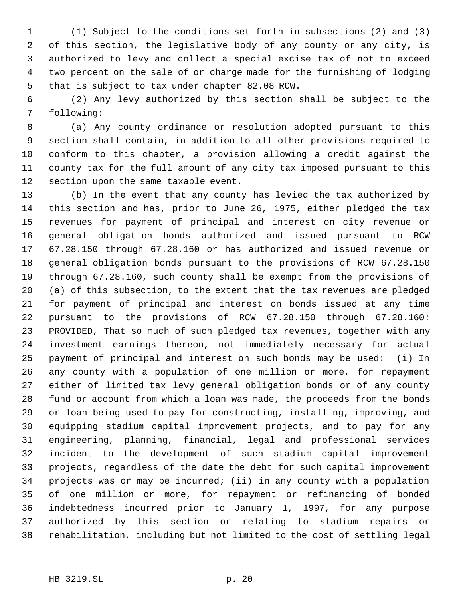(1) Subject to the conditions set forth in subsections (2) and (3) of this section, the legislative body of any county or any city, is authorized to levy and collect a special excise tax of not to exceed two percent on the sale of or charge made for the furnishing of lodging that is subject to tax under chapter 82.08 RCW.

 (2) Any levy authorized by this section shall be subject to the following:

 (a) Any county ordinance or resolution adopted pursuant to this section shall contain, in addition to all other provisions required to conform to this chapter, a provision allowing a credit against the county tax for the full amount of any city tax imposed pursuant to this section upon the same taxable event.

 (b) In the event that any county has levied the tax authorized by this section and has, prior to June 26, 1975, either pledged the tax revenues for payment of principal and interest on city revenue or general obligation bonds authorized and issued pursuant to RCW 67.28.150 through 67.28.160 or has authorized and issued revenue or general obligation bonds pursuant to the provisions of RCW 67.28.150 through 67.28.160, such county shall be exempt from the provisions of (a) of this subsection, to the extent that the tax revenues are pledged for payment of principal and interest on bonds issued at any time pursuant to the provisions of RCW 67.28.150 through 67.28.160: PROVIDED, That so much of such pledged tax revenues, together with any investment earnings thereon, not immediately necessary for actual payment of principal and interest on such bonds may be used: (i) In any county with a population of one million or more, for repayment either of limited tax levy general obligation bonds or of any county fund or account from which a loan was made, the proceeds from the bonds or loan being used to pay for constructing, installing, improving, and equipping stadium capital improvement projects, and to pay for any engineering, planning, financial, legal and professional services incident to the development of such stadium capital improvement projects, regardless of the date the debt for such capital improvement projects was or may be incurred; (ii) in any county with a population of one million or more, for repayment or refinancing of bonded indebtedness incurred prior to January 1, 1997, for any purpose authorized by this section or relating to stadium repairs or rehabilitation, including but not limited to the cost of settling legal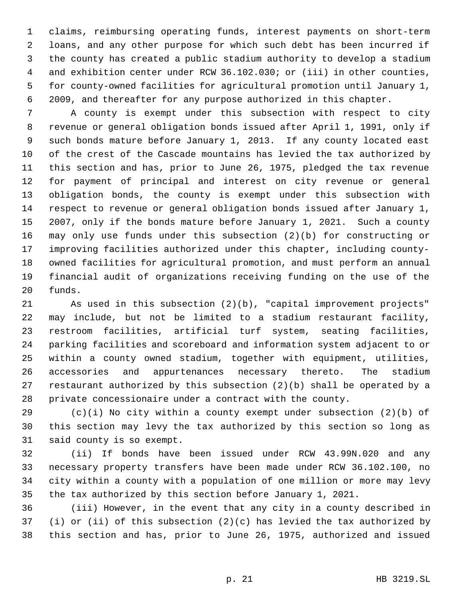claims, reimbursing operating funds, interest payments on short-term loans, and any other purpose for which such debt has been incurred if the county has created a public stadium authority to develop a stadium and exhibition center under RCW 36.102.030; or (iii) in other counties, for county-owned facilities for agricultural promotion until January 1, 2009, and thereafter for any purpose authorized in this chapter.

 A county is exempt under this subsection with respect to city revenue or general obligation bonds issued after April 1, 1991, only if such bonds mature before January 1, 2013. If any county located east of the crest of the Cascade mountains has levied the tax authorized by this section and has, prior to June 26, 1975, pledged the tax revenue for payment of principal and interest on city revenue or general obligation bonds, the county is exempt under this subsection with respect to revenue or general obligation bonds issued after January 1, 2007, only if the bonds mature before January 1, 2021. Such a county may only use funds under this subsection (2)(b) for constructing or improving facilities authorized under this chapter, including county- owned facilities for agricultural promotion, and must perform an annual financial audit of organizations receiving funding on the use of the funds.

 As used in this subsection (2)(b), "capital improvement projects" may include, but not be limited to a stadium restaurant facility, restroom facilities, artificial turf system, seating facilities, parking facilities and scoreboard and information system adjacent to or within a county owned stadium, together with equipment, utilities, 26 accessories and appurtenances necessary thereto. The stadium restaurant authorized by this subsection (2)(b) shall be operated by a private concessionaire under a contract with the county.

 (c)(i) No city within a county exempt under subsection (2)(b) of this section may levy the tax authorized by this section so long as said county is so exempt.

 (ii) If bonds have been issued under RCW 43.99N.020 and any necessary property transfers have been made under RCW 36.102.100, no city within a county with a population of one million or more may levy the tax authorized by this section before January 1, 2021.

 (iii) However, in the event that any city in a county described in (i) or (ii) of this subsection (2)(c) has levied the tax authorized by this section and has, prior to June 26, 1975, authorized and issued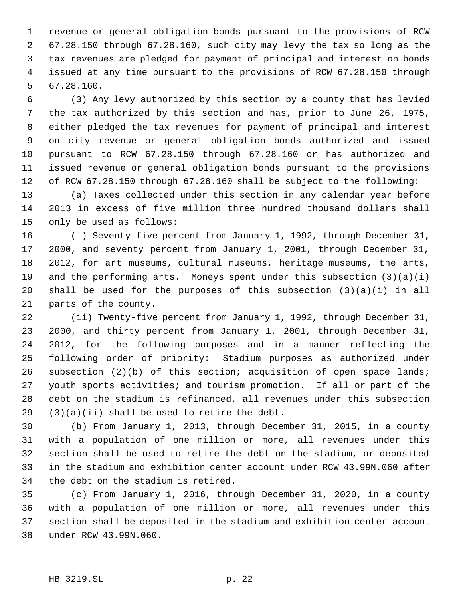revenue or general obligation bonds pursuant to the provisions of RCW 67.28.150 through 67.28.160, such city may levy the tax so long as the tax revenues are pledged for payment of principal and interest on bonds issued at any time pursuant to the provisions of RCW 67.28.150 through 67.28.160.

 (3) Any levy authorized by this section by a county that has levied the tax authorized by this section and has, prior to June 26, 1975, either pledged the tax revenues for payment of principal and interest on city revenue or general obligation bonds authorized and issued pursuant to RCW 67.28.150 through 67.28.160 or has authorized and issued revenue or general obligation bonds pursuant to the provisions of RCW 67.28.150 through 67.28.160 shall be subject to the following:

 (a) Taxes collected under this section in any calendar year before 2013 in excess of five million three hundred thousand dollars shall only be used as follows:

 (i) Seventy-five percent from January 1, 1992, through December 31, 2000, and seventy percent from January 1, 2001, through December 31, 2012, for art museums, cultural museums, heritage museums, the arts, and the performing arts. Moneys spent under this subsection (3)(a)(i) shall be used for the purposes of this subsection (3)(a)(i) in all parts of the county.

 (ii) Twenty-five percent from January 1, 1992, through December 31, 2000, and thirty percent from January 1, 2001, through December 31, 2012, for the following purposes and in a manner reflecting the following order of priority: Stadium purposes as authorized under subsection (2)(b) of this section; acquisition of open space lands; youth sports activities; and tourism promotion. If all or part of the debt on the stadium is refinanced, all revenues under this subsection  $(3)(a)(ii)$  shall be used to retire the debt.

 (b) From January 1, 2013, through December 31, 2015, in a county with a population of one million or more, all revenues under this section shall be used to retire the debt on the stadium, or deposited in the stadium and exhibition center account under RCW 43.99N.060 after the debt on the stadium is retired.

 (c) From January 1, 2016, through December 31, 2020, in a county with a population of one million or more, all revenues under this section shall be deposited in the stadium and exhibition center account under RCW 43.99N.060.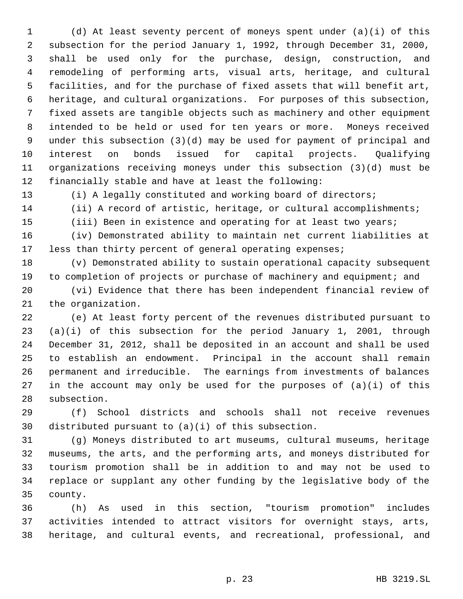(d) At least seventy percent of moneys spent under (a)(i) of this subsection for the period January 1, 1992, through December 31, 2000, shall be used only for the purchase, design, construction, and remodeling of performing arts, visual arts, heritage, and cultural facilities, and for the purchase of fixed assets that will benefit art, heritage, and cultural organizations. For purposes of this subsection, fixed assets are tangible objects such as machinery and other equipment intended to be held or used for ten years or more. Moneys received under this subsection (3)(d) may be used for payment of principal and interest on bonds issued for capital projects. Qualifying organizations receiving moneys under this subsection (3)(d) must be financially stable and have at least the following:

(i) A legally constituted and working board of directors;

(ii) A record of artistic, heritage, or cultural accomplishments;

(iii) Been in existence and operating for at least two years;

 (iv) Demonstrated ability to maintain net current liabilities at less than thirty percent of general operating expenses;

 (v) Demonstrated ability to sustain operational capacity subsequent to completion of projects or purchase of machinery and equipment; and (vi) Evidence that there has been independent financial review of the organization.

 (e) At least forty percent of the revenues distributed pursuant to (a)(i) of this subsection for the period January 1, 2001, through December 31, 2012, shall be deposited in an account and shall be used to establish an endowment. Principal in the account shall remain permanent and irreducible. The earnings from investments of balances 27 in the account may only be used for the purposes of  $(a)(i)$  of this subsection.

 (f) School districts and schools shall not receive revenues distributed pursuant to (a)(i) of this subsection.

 (g) Moneys distributed to art museums, cultural museums, heritage museums, the arts, and the performing arts, and moneys distributed for tourism promotion shall be in addition to and may not be used to replace or supplant any other funding by the legislative body of the county.

 (h) As used in this section, "tourism promotion" includes activities intended to attract visitors for overnight stays, arts, heritage, and cultural events, and recreational, professional, and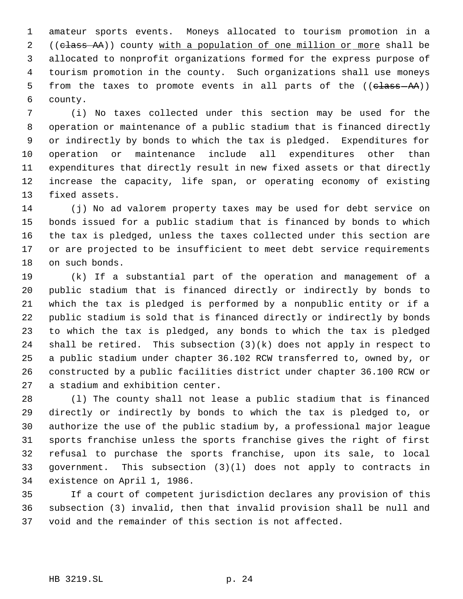amateur sports events. Moneys allocated to tourism promotion in a 2 ((class AA)) county with a population of one million or more shall be allocated to nonprofit organizations formed for the express purpose of tourism promotion in the county. Such organizations shall use moneys 5 from the taxes to promote events in all parts of the ((class-AA)) county.

 (i) No taxes collected under this section may be used for the operation or maintenance of a public stadium that is financed directly or indirectly by bonds to which the tax is pledged. Expenditures for operation or maintenance include all expenditures other than expenditures that directly result in new fixed assets or that directly increase the capacity, life span, or operating economy of existing fixed assets.

 (j) No ad valorem property taxes may be used for debt service on bonds issued for a public stadium that is financed by bonds to which the tax is pledged, unless the taxes collected under this section are or are projected to be insufficient to meet debt service requirements on such bonds.

 (k) If a substantial part of the operation and management of a public stadium that is financed directly or indirectly by bonds to which the tax is pledged is performed by a nonpublic entity or if a public stadium is sold that is financed directly or indirectly by bonds to which the tax is pledged, any bonds to which the tax is pledged shall be retired. This subsection (3)(k) does not apply in respect to a public stadium under chapter 36.102 RCW transferred to, owned by, or constructed by a public facilities district under chapter 36.100 RCW or a stadium and exhibition center.

 (l) The county shall not lease a public stadium that is financed directly or indirectly by bonds to which the tax is pledged to, or authorize the use of the public stadium by, a professional major league sports franchise unless the sports franchise gives the right of first refusal to purchase the sports franchise, upon its sale, to local government. This subsection (3)(l) does not apply to contracts in existence on April 1, 1986.

 If a court of competent jurisdiction declares any provision of this subsection (3) invalid, then that invalid provision shall be null and void and the remainder of this section is not affected.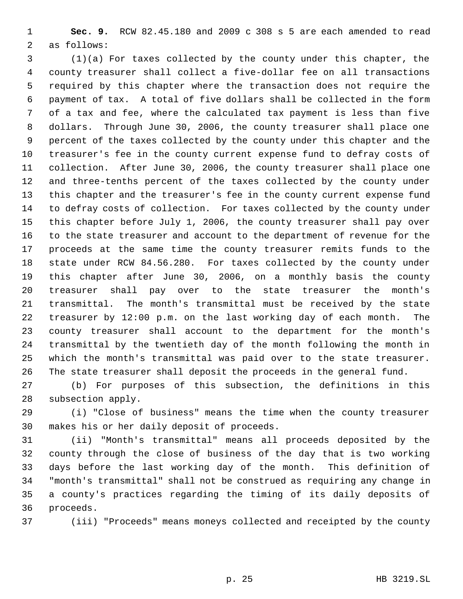**Sec. 9.** RCW 82.45.180 and 2009 c 308 s 5 are each amended to read as follows:

 (1)(a) For taxes collected by the county under this chapter, the county treasurer shall collect a five-dollar fee on all transactions required by this chapter where the transaction does not require the payment of tax. A total of five dollars shall be collected in the form of a tax and fee, where the calculated tax payment is less than five dollars. Through June 30, 2006, the county treasurer shall place one percent of the taxes collected by the county under this chapter and the treasurer's fee in the county current expense fund to defray costs of collection. After June 30, 2006, the county treasurer shall place one and three-tenths percent of the taxes collected by the county under this chapter and the treasurer's fee in the county current expense fund to defray costs of collection. For taxes collected by the county under this chapter before July 1, 2006, the county treasurer shall pay over to the state treasurer and account to the department of revenue for the proceeds at the same time the county treasurer remits funds to the state under RCW 84.56.280. For taxes collected by the county under this chapter after June 30, 2006, on a monthly basis the county treasurer shall pay over to the state treasurer the month's transmittal. The month's transmittal must be received by the state treasurer by 12:00 p.m. on the last working day of each month. The county treasurer shall account to the department for the month's transmittal by the twentieth day of the month following the month in which the month's transmittal was paid over to the state treasurer. The state treasurer shall deposit the proceeds in the general fund.

 (b) For purposes of this subsection, the definitions in this subsection apply.

 (i) "Close of business" means the time when the county treasurer makes his or her daily deposit of proceeds.

 (ii) "Month's transmittal" means all proceeds deposited by the county through the close of business of the day that is two working days before the last working day of the month. This definition of "month's transmittal" shall not be construed as requiring any change in a county's practices regarding the timing of its daily deposits of proceeds.

(iii) "Proceeds" means moneys collected and receipted by the county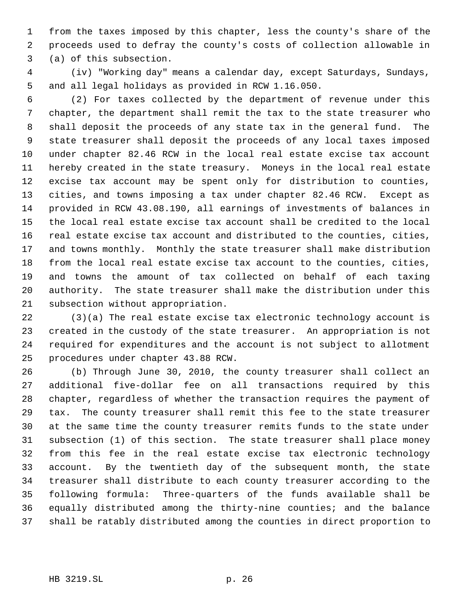from the taxes imposed by this chapter, less the county's share of the proceeds used to defray the county's costs of collection allowable in (a) of this subsection.

 (iv) "Working day" means a calendar day, except Saturdays, Sundays, and all legal holidays as provided in RCW 1.16.050.

 (2) For taxes collected by the department of revenue under this chapter, the department shall remit the tax to the state treasurer who shall deposit the proceeds of any state tax in the general fund. The state treasurer shall deposit the proceeds of any local taxes imposed under chapter 82.46 RCW in the local real estate excise tax account hereby created in the state treasury. Moneys in the local real estate excise tax account may be spent only for distribution to counties, cities, and towns imposing a tax under chapter 82.46 RCW. Except as provided in RCW 43.08.190, all earnings of investments of balances in the local real estate excise tax account shall be credited to the local real estate excise tax account and distributed to the counties, cities, and towns monthly. Monthly the state treasurer shall make distribution from the local real estate excise tax account to the counties, cities, and towns the amount of tax collected on behalf of each taxing authority. The state treasurer shall make the distribution under this subsection without appropriation.

 (3)(a) The real estate excise tax electronic technology account is created in the custody of the state treasurer. An appropriation is not required for expenditures and the account is not subject to allotment procedures under chapter 43.88 RCW.

 (b) Through June 30, 2010, the county treasurer shall collect an additional five-dollar fee on all transactions required by this chapter, regardless of whether the transaction requires the payment of tax. The county treasurer shall remit this fee to the state treasurer at the same time the county treasurer remits funds to the state under subsection (1) of this section. The state treasurer shall place money from this fee in the real estate excise tax electronic technology account. By the twentieth day of the subsequent month, the state treasurer shall distribute to each county treasurer according to the following formula: Three-quarters of the funds available shall be equally distributed among the thirty-nine counties; and the balance shall be ratably distributed among the counties in direct proportion to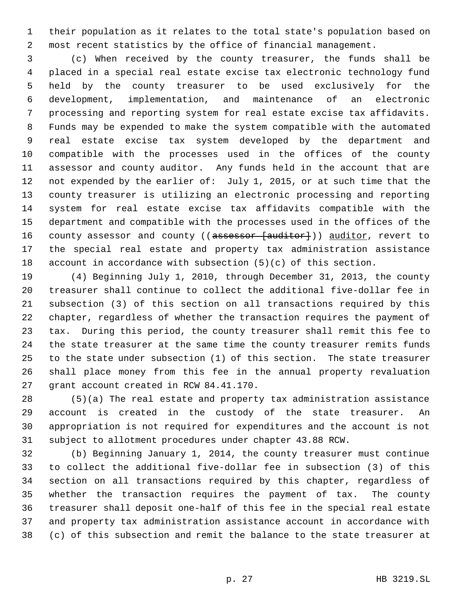their population as it relates to the total state's population based on most recent statistics by the office of financial management.

 (c) When received by the county treasurer, the funds shall be placed in a special real estate excise tax electronic technology fund held by the county treasurer to be used exclusively for the development, implementation, and maintenance of an electronic processing and reporting system for real estate excise tax affidavits. Funds may be expended to make the system compatible with the automated real estate excise tax system developed by the department and compatible with the processes used in the offices of the county assessor and county auditor. Any funds held in the account that are not expended by the earlier of: July 1, 2015, or at such time that the county treasurer is utilizing an electronic processing and reporting system for real estate excise tax affidavits compatible with the department and compatible with the processes used in the offices of the 16 county assessor and county ((assessor [auditor])) auditor, revert to the special real estate and property tax administration assistance 18 account in accordance with subsection  $(5)(c)$  of this section.

 (4) Beginning July 1, 2010, through December 31, 2013, the county treasurer shall continue to collect the additional five-dollar fee in subsection (3) of this section on all transactions required by this chapter, regardless of whether the transaction requires the payment of tax. During this period, the county treasurer shall remit this fee to the state treasurer at the same time the county treasurer remits funds to the state under subsection (1) of this section. The state treasurer shall place money from this fee in the annual property revaluation grant account created in RCW 84.41.170.

 (5)(a) The real estate and property tax administration assistance account is created in the custody of the state treasurer. An appropriation is not required for expenditures and the account is not subject to allotment procedures under chapter 43.88 RCW.

 (b) Beginning January 1, 2014, the county treasurer must continue to collect the additional five-dollar fee in subsection (3) of this section on all transactions required by this chapter, regardless of whether the transaction requires the payment of tax. The county treasurer shall deposit one-half of this fee in the special real estate and property tax administration assistance account in accordance with (c) of this subsection and remit the balance to the state treasurer at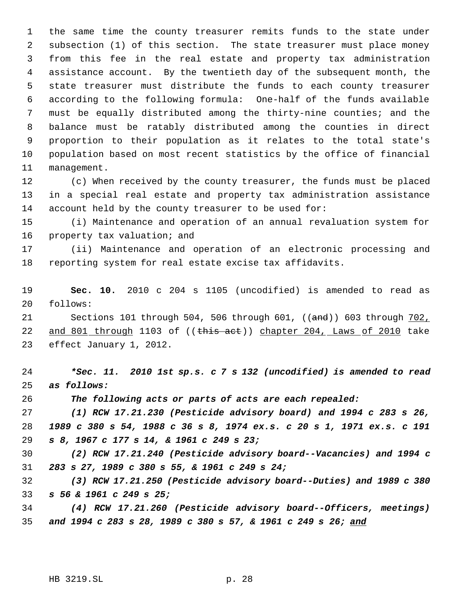the same time the county treasurer remits funds to the state under subsection (1) of this section. The state treasurer must place money from this fee in the real estate and property tax administration assistance account. By the twentieth day of the subsequent month, the state treasurer must distribute the funds to each county treasurer according to the following formula: One-half of the funds available must be equally distributed among the thirty-nine counties; and the balance must be ratably distributed among the counties in direct proportion to their population as it relates to the total state's population based on most recent statistics by the office of financial management.

 (c) When received by the county treasurer, the funds must be placed in a special real estate and property tax administration assistance account held by the county treasurer to be used for:

 (i) Maintenance and operation of an annual revaluation system for property tax valuation; and

 (ii) Maintenance and operation of an electronic processing and reporting system for real estate excise tax affidavits.

 **Sec. 10.** 2010 c 204 s 1105 (uncodified) is amended to read as follows:

21 Sections 101 through 504, 506 through 601, ((and)) 603 through 702, 22 and 801 through 1103 of ((this act)) chapter 204, Laws of 2010 take effect January 1, 2012.

 *\*Sec. 11. 2010 1st sp.s. c 7 s 132 (uncodified) is amended to read as follows:*

*The following acts or parts of acts are each repealed:*

 *(1) RCW 17.21.230 (Pesticide advisory board) and 1994 c 283 s 26, 1989 c 380 s 54, 1988 c 36 s 8, 1974 ex.s. c 20 s 1, 1971 ex.s. c 191 s 8, 1967 c 177 s 14, & 1961 c 249 s 23;*

 *(2) RCW 17.21.240 (Pesticide advisory board--Vacancies) and 1994 c 283 s 27, 1989 c 380 s 55, & 1961 c 249 s 24;*

 *(3) RCW 17.21.250 (Pesticide advisory board--Duties) and 1989 c 380 s 56 & 1961 c 249 s 25;*

 *(4) RCW 17.21.260 (Pesticide advisory board--Officers, meetings) and 1994 c 283 s 28, 1989 c 380 s 57, & 1961 c 249 s 26; and*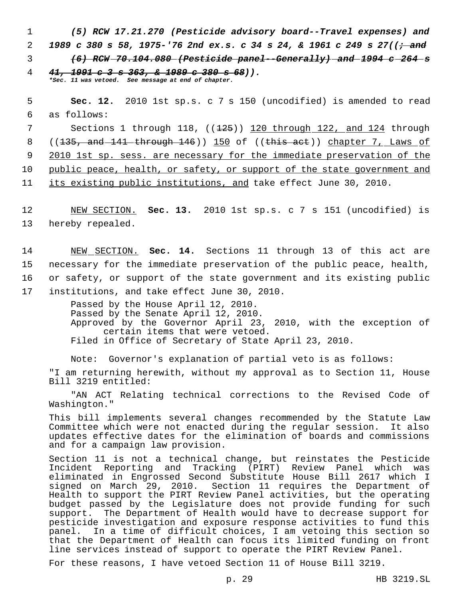*(5) RCW 17.21.270 (Pesticide advisory board--Travel expenses) and 1989 c 380 s 58, 1975-'76 2nd ex.s. c 34 s 24, & 1961 c 249 s 27((; and (6) RCW 70.104.080 (Pesticide panel--Generally) and 1994 c 264 s 41, 1991 c 3 s 363, & 1989 c 380 s 68)). \*Sec. 11 was vetoed. See message at end of chapter.*

# 5 **Sec. 12.** 2010 1st sp.s. c 7 s 150 (uncodified) is amended to read 6 as follows:

7 Sections 1 through 118,  $((1.25))$  120 through 122, and 124 through 8 ( $(\pm 35, \text{ and } -141 \text{ -throwch } 146)$ ) 150 of ( $(\pm \text{his } \text{act})$ ) chapter 7, Laws of 9 2010 1st sp. sess. are necessary for the immediate preservation of the 10 public peace, health, or safety, or support of the state government and 11 its existing public institutions, and take effect June 30, 2010.

12 NEW SECTION. **Sec. 13.** 2010 1st sp.s. c 7 s 151 (uncodified) is 13 hereby repealed.

 NEW SECTION. **Sec. 14.** Sections 11 through 13 of this act are necessary for the immediate preservation of the public peace, health, or safety, or support of the state government and its existing public institutions, and take effect June 30, 2010.

> Passed by the House April 12, 2010. Passed by the Senate April 12, 2010. Approved by the Governor April 23, 2010, with the exception of certain items that were vetoed. Filed in Office of Secretary of State April 23, 2010.

Note: Governor's explanation of partial veto is as follows:

"I am returning herewith, without my approval as to Section 11, House Bill 3219 entitled:

"AN ACT Relating technical corrections to the Revised Code of Washington."

This bill implements several changes recommended by the Statute Law Committee which were not enacted during the regular session. It also updates effective dates for the elimination of boards and commissions and for a campaign law provision.

Section 11 is not a technical change, but reinstates the Pesticide Incident Reporting and Tracking (PIRT) Review Panel which was eliminated in Engrossed Second Substitute House Bill 2617 which I signed on March 29, 2010. Section 11 requires the Department of Health to support the PIRT Review Panel activities, but the operating budget passed by the Legislature does not provide funding for such support. The Department of Health would have to decrease support for pesticide investigation and exposure response activities to fund this panel. In a time of difficult choices, I am vetoing this section so that the Department of Health can focus its limited funding on front line services instead of support to operate the PIRT Review Panel.

For these reasons, I have vetoed Section 11 of House Bill 3219.